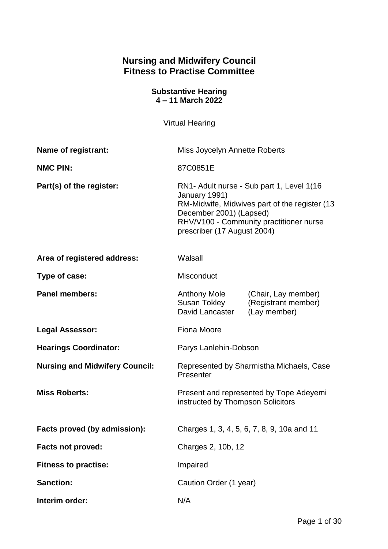# **Nursing and Midwifery Council Fitness to Practise Committee**

#### **Substantive Hearing 4 – 11 March 2022**

Virtual Hearing

| <b>Name of registrant:</b>            | Miss Joycelyn Annette Roberts                                                                                                                                                                                    |                                                            |
|---------------------------------------|------------------------------------------------------------------------------------------------------------------------------------------------------------------------------------------------------------------|------------------------------------------------------------|
| <b>NMC PIN:</b>                       | 87C0851E                                                                                                                                                                                                         |                                                            |
| Part(s) of the register:              | RN1- Adult nurse - Sub part 1, Level 1(16<br>January 1991)<br>RM-Midwife, Midwives part of the register (13<br>December 2001) (Lapsed)<br>RHV/V100 - Community practitioner nurse<br>prescriber (17 August 2004) |                                                            |
| Area of registered address:           | Walsall                                                                                                                                                                                                          |                                                            |
| Type of case:                         | Misconduct                                                                                                                                                                                                       |                                                            |
| <b>Panel members:</b>                 | <b>Anthony Mole</b><br><b>Susan Tokley</b><br>David Lancaster                                                                                                                                                    | (Chair, Lay member)<br>(Registrant member)<br>(Lay member) |
| Legal Assessor:                       | <b>Fiona Moore</b>                                                                                                                                                                                               |                                                            |
| <b>Hearings Coordinator:</b>          | Parys Lanlehin-Dobson                                                                                                                                                                                            |                                                            |
| <b>Nursing and Midwifery Council:</b> | Represented by Sharmistha Michaels, Case<br>Presenter                                                                                                                                                            |                                                            |
| <b>Miss Roberts:</b>                  | Present and represented by Tope Adeyemi<br>instructed by Thompson Solicitors                                                                                                                                     |                                                            |
| Facts proved (by admission):          | Charges 1, 3, 4, 5, 6, 7, 8, 9, 10a and 11                                                                                                                                                                       |                                                            |
| Facts not proved:                     | Charges 2, 10b, 12                                                                                                                                                                                               |                                                            |
| <b>Fitness to practise:</b>           | Impaired                                                                                                                                                                                                         |                                                            |
| <b>Sanction:</b>                      | Caution Order (1 year)                                                                                                                                                                                           |                                                            |
| Interim order:                        | N/A                                                                                                                                                                                                              |                                                            |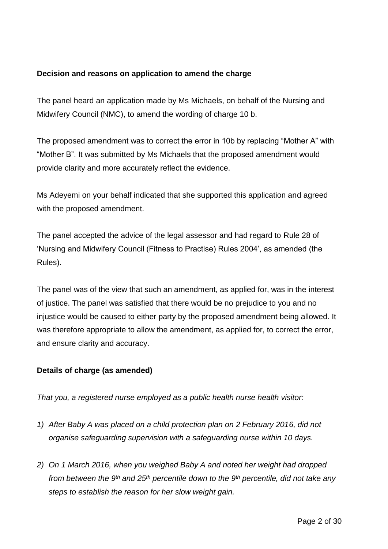# **Decision and reasons on application to amend the charge**

The panel heard an application made by Ms Michaels, on behalf of the Nursing and Midwifery Council (NMC), to amend the wording of charge 10 b.

The proposed amendment was to correct the error in 10b by replacing "Mother A" with "Mother B". It was submitted by Ms Michaels that the proposed amendment would provide clarity and more accurately reflect the evidence.

Ms Adeyemi on your behalf indicated that she supported this application and agreed with the proposed amendment.

The panel accepted the advice of the legal assessor and had regard to Rule 28 of 'Nursing and Midwifery Council (Fitness to Practise) Rules 2004', as amended (the Rules).

The panel was of the view that such an amendment, as applied for, was in the interest of justice. The panel was satisfied that there would be no prejudice to you and no injustice would be caused to either party by the proposed amendment being allowed. It was therefore appropriate to allow the amendment, as applied for, to correct the error, and ensure clarity and accuracy.

#### **Details of charge (as amended)**

*That you, a registered nurse employed as a public health nurse health visitor:*

- *1) After Baby A was placed on a child protection plan on 2 February 2016, did not organise safeguarding supervision with a safeguarding nurse within 10 days.*
- *2) On 1 March 2016, when you weighed Baby A and noted her weight had dropped from between the 9th and 25th percentile down to the 9th percentile, did not take any steps to establish the reason for her slow weight gain.*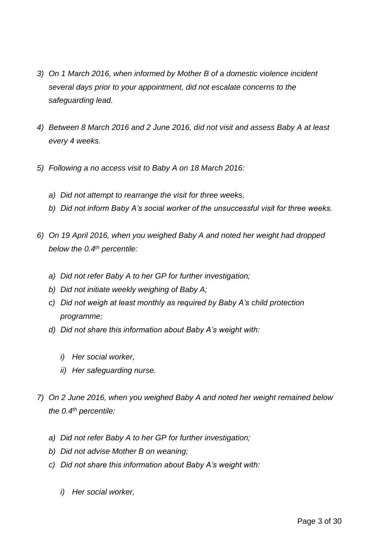- *3) On 1 March 2016, when informed by Mother B of a domestic violence incident several days prior to your appointment, did not escalate concerns to the safeguarding lead.*
- *4) Between 8 March 2016 and 2 June 2016, did not visit and assess Baby A at least every 4 weeks.*
- *5) Following a no access visit to Baby A on 18 March 2016:*
	- *a) Did not attempt to rearrange the visit for three weeks,*
	- *b) Did not inform Baby A's social worker of the unsuccessful visit for three weeks.*
- *6) On 19 April 2016, when you weighed Baby A and noted her weight had dropped below the 0.4th percentile:*
	- *a) Did not refer Baby A to her GP for further investigation;*
	- *b) Did not initiate weekly weighing of Baby A;*
	- *c) Did not weigh at least monthly as required by Baby A's child protection programme;*
	- *d) Did not share this information about Baby A's weight with:*
		- *i) Her social worker,*
		- *ii) Her safeguarding nurse.*
- *7) On 2 June 2016, when you weighed Baby A and noted her weight remained below the 0.4th percentile:*
	- *a) Did not refer Baby A to her GP for further investigation;*
	- *b) Did not advise Mother B on weaning;*
	- *c) Did not share this information about Baby A's weight with:*
		- *i) Her social worker,*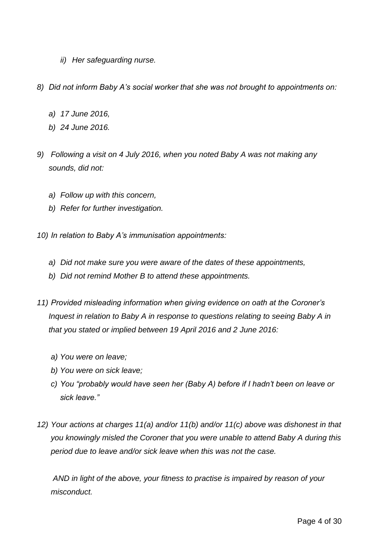- *ii) Her safeguarding nurse.*
- *8) Did not inform Baby A's social worker that she was not brought to appointments on:*
	- *a) 17 June 2016,*
	- *b) 24 June 2016.*
- *9) Following a visit on 4 July 2016, when you noted Baby A was not making any sounds, did not:*
	- *a) Follow up with this concern,*
	- *b) Refer for further investigation.*
- *10) In relation to Baby A's immunisation appointments:*
	- *a) Did not make sure you were aware of the dates of these appointments,*
	- *b) Did not remind Mother B to attend these appointments.*
- *11) Provided misleading information when giving evidence on oath at the Coroner's Inquest in relation to Baby A in response to questions relating to seeing Baby A in that you stated or implied between 19 April 2016 and 2 June 2016:*
	- *a) You were on leave;*
	- *b) You were on sick leave;*
	- *c) You "probably would have seen her (Baby A) before if I hadn't been on leave or sick leave."*
- *12) Your actions at charges 11(a) and/or 11(b) and/or 11(c) above was dishonest in that you knowingly misled the Coroner that you were unable to attend Baby A during this period due to leave and/or sick leave when this was not the case.*

*AND in light of the above, your fitness to practise is impaired by reason of your misconduct.*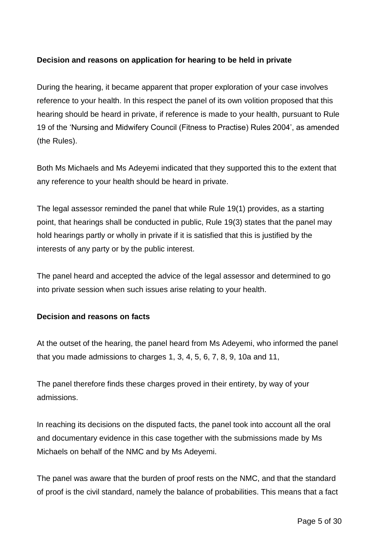# **Decision and reasons on application for hearing to be held in private**

During the hearing, it became apparent that proper exploration of your case involves reference to your health. In this respect the panel of its own volition proposed that this hearing should be heard in private, if reference is made to your health, pursuant to Rule 19 of the 'Nursing and Midwifery Council (Fitness to Practise) Rules 2004', as amended (the Rules).

Both Ms Michaels and Ms Adeyemi indicated that they supported this to the extent that any reference to your health should be heard in private.

The legal assessor reminded the panel that while Rule 19(1) provides, as a starting point, that hearings shall be conducted in public, Rule 19(3) states that the panel may hold hearings partly or wholly in private if it is satisfied that this is justified by the interests of any party or by the public interest.

The panel heard and accepted the advice of the legal assessor and determined to go into private session when such issues arise relating to your health.

# **Decision and reasons on facts**

At the outset of the hearing, the panel heard from Ms Adeyemi, who informed the panel that you made admissions to charges 1, 3, 4, 5, 6, 7, 8, 9, 10a and 11,

The panel therefore finds these charges proved in their entirety, by way of your admissions.

In reaching its decisions on the disputed facts, the panel took into account all the oral and documentary evidence in this case together with the submissions made by Ms Michaels on behalf of the NMC and by Ms Adeyemi.

The panel was aware that the burden of proof rests on the NMC, and that the standard of proof is the civil standard, namely the balance of probabilities. This means that a fact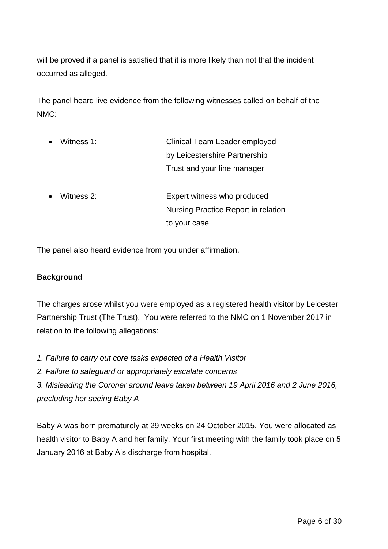will be proved if a panel is satisfied that it is more likely than not that the incident occurred as alleged.

The panel heard live evidence from the following witnesses called on behalf of the NMC:

| Clinical Team Leader employed       |  |
|-------------------------------------|--|
| by Leicestershire Partnership       |  |
| Trust and your line manager         |  |
|                                     |  |
|                                     |  |
| Expert witness who produced         |  |
| Nursing Practice Report in relation |  |
|                                     |  |

The panel also heard evidence from you under affirmation.

# **Background**

The charges arose whilst you were employed as a registered health visitor by Leicester Partnership Trust (The Trust). You were referred to the NMC on 1 November 2017 in relation to the following allegations:

- *1. Failure to carry out core tasks expected of a Health Visitor*
- *2. Failure to safeguard or appropriately escalate concerns*

*3. Misleading the Coroner around leave taken between 19 April 2016 and 2 June 2016, precluding her seeing Baby A*

Baby A was born prematurely at 29 weeks on 24 October 2015. You were allocated as health visitor to Baby A and her family. Your first meeting with the family took place on 5 January 2016 at Baby A's discharge from hospital.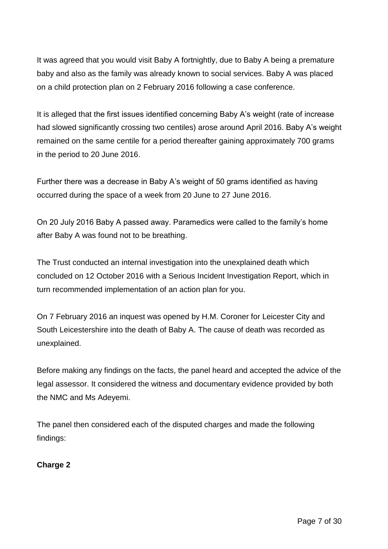It was agreed that you would visit Baby A fortnightly, due to Baby A being a premature baby and also as the family was already known to social services. Baby A was placed on a child protection plan on 2 February 2016 following a case conference.

It is alleged that the first issues identified concerning Baby A's weight (rate of increase had slowed significantly crossing two centiles) arose around April 2016. Baby A's weight remained on the same centile for a period thereafter gaining approximately 700 grams in the period to 20 June 2016.

Further there was a decrease in Baby A's weight of 50 grams identified as having occurred during the space of a week from 20 June to 27 June 2016.

On 20 July 2016 Baby A passed away. Paramedics were called to the family's home after Baby A was found not to be breathing.

The Trust conducted an internal investigation into the unexplained death which concluded on 12 October 2016 with a Serious Incident Investigation Report, which in turn recommended implementation of an action plan for you.

On 7 February 2016 an inquest was opened by H.M. Coroner for Leicester City and South Leicestershire into the death of Baby A. The cause of death was recorded as unexplained.

Before making any findings on the facts, the panel heard and accepted the advice of the legal assessor. It considered the witness and documentary evidence provided by both the NMC and Ms Adeyemi.

The panel then considered each of the disputed charges and made the following findings:

**Charge 2**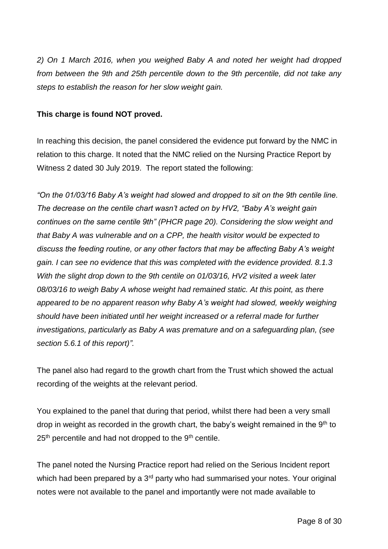*2) On 1 March 2016, when you weighed Baby A and noted her weight had dropped from between the 9th and 25th percentile down to the 9th percentile, did not take any steps to establish the reason for her slow weight gain.*

### **This charge is found NOT proved.**

In reaching this decision, the panel considered the evidence put forward by the NMC in relation to this charge. It noted that the NMC relied on the Nursing Practice Report by Witness 2 dated 30 July 2019. The report stated the following:

*"On the 01/03/16 Baby A's weight had slowed and dropped to sit on the 9th centile line. The decrease on the centile chart wasn't acted on by HV2, "Baby A's weight gain continues on the same centile 9th" (PHCR page 20). Considering the slow weight and that Baby A was vulnerable and on a CPP, the health visitor would be expected to discuss the feeding routine, or any other factors that may be affecting Baby A's weight gain. I can see no evidence that this was completed with the evidence provided. 8.1.3 With the slight drop down to the 9th centile on 01/03/16, HV2 visited a week later 08/03/16 to weigh Baby A whose weight had remained static. At this point, as there appeared to be no apparent reason why Baby A's weight had slowed, weekly weighing should have been initiated until her weight increased or a referral made for further investigations, particularly as Baby A was premature and on a safeguarding plan, (see section 5.6.1 of this report)".*

The panel also had regard to the growth chart from the Trust which showed the actual recording of the weights at the relevant period.

You explained to the panel that during that period, whilst there had been a very small drop in weight as recorded in the growth chart, the baby's weight remained in the  $9<sup>th</sup>$  to  $25<sup>th</sup>$  percentile and had not dropped to the  $9<sup>th</sup>$  centile.

The panel noted the Nursing Practice report had relied on the Serious Incident report which had been prepared by a 3<sup>rd</sup> party who had summarised your notes. Your original notes were not available to the panel and importantly were not made available to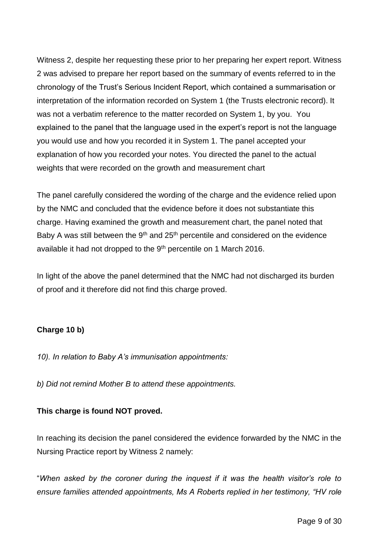Witness 2, despite her requesting these prior to her preparing her expert report. Witness 2 was advised to prepare her report based on the summary of events referred to in the chronology of the Trust's Serious Incident Report, which contained a summarisation or interpretation of the information recorded on System 1 (the Trusts electronic record). It was not a verbatim reference to the matter recorded on System 1, by you. You explained to the panel that the language used in the expert's report is not the language you would use and how you recorded it in System 1. The panel accepted your explanation of how you recorded your notes. You directed the panel to the actual weights that were recorded on the growth and measurement chart

The panel carefully considered the wording of the charge and the evidence relied upon by the NMC and concluded that the evidence before it does not substantiate this charge. Having examined the growth and measurement chart, the panel noted that Baby A was still between the  $9<sup>th</sup>$  and  $25<sup>th</sup>$  percentile and considered on the evidence available it had not dropped to the 9<sup>th</sup> percentile on 1 March 2016.

In light of the above the panel determined that the NMC had not discharged its burden of proof and it therefore did not find this charge proved.

# **Charge 10 b)**

*10). In relation to Baby A's immunisation appointments:*

*b) Did not remind Mother B to attend these appointments.*

# **This charge is found NOT proved.**

In reaching its decision the panel considered the evidence forwarded by the NMC in the Nursing Practice report by Witness 2 namely:

"*When asked by the coroner during the inquest if it was the health visitor's role to ensure families attended appointments, Ms A Roberts replied in her testimony, "HV role*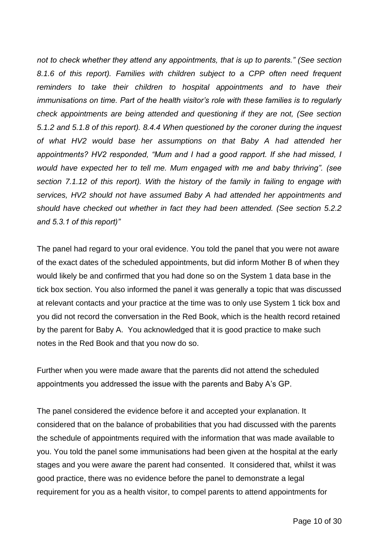*not to check whether they attend any appointments, that is up to parents." (See section 8.1.6 of this report). Families with children subject to a CPP often need frequent reminders to take their children to hospital appointments and to have their immunisations on time. Part of the health visitor's role with these families is to regularly check appointments are being attended and questioning if they are not, (See section 5.1.2 and 5.1.8 of this report). 8.4.4 When questioned by the coroner during the inquest of what HV2 would base her assumptions on that Baby A had attended her appointments? HV2 responded, "Mum and I had a good rapport. If she had missed, I would have expected her to tell me. Mum engaged with me and baby thriving". (see section 7.1.12 of this report). With the history of the family in failing to engage with services, HV2 should not have assumed Baby A had attended her appointments and should have checked out whether in fact they had been attended. (See section 5.2.2 and 5.3.1 of this report)"*

The panel had regard to your oral evidence. You told the panel that you were not aware of the exact dates of the scheduled appointments, but did inform Mother B of when they would likely be and confirmed that you had done so on the System 1 data base in the tick box section. You also informed the panel it was generally a topic that was discussed at relevant contacts and your practice at the time was to only use System 1 tick box and you did not record the conversation in the Red Book, which is the health record retained by the parent for Baby A. You acknowledged that it is good practice to make such notes in the Red Book and that you now do so.

Further when you were made aware that the parents did not attend the scheduled appointments you addressed the issue with the parents and Baby A's GP.

The panel considered the evidence before it and accepted your explanation. It considered that on the balance of probabilities that you had discussed with the parents the schedule of appointments required with the information that was made available to you. You told the panel some immunisations had been given at the hospital at the early stages and you were aware the parent had consented. It considered that, whilst it was good practice, there was no evidence before the panel to demonstrate a legal requirement for you as a health visitor, to compel parents to attend appointments for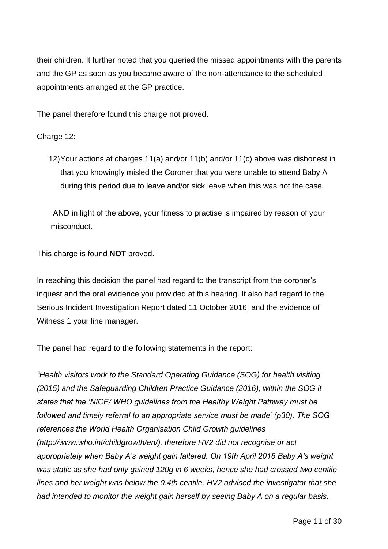their children. It further noted that you queried the missed appointments with the parents and the GP as soon as you became aware of the non-attendance to the scheduled appointments arranged at the GP practice.

The panel therefore found this charge not proved.

### Charge 12:

12)Your actions at charges 11(a) and/or 11(b) and/or 11(c) above was dishonest in that you knowingly misled the Coroner that you were unable to attend Baby A during this period due to leave and/or sick leave when this was not the case.

AND in light of the above, your fitness to practise is impaired by reason of your misconduct.

This charge is found **NOT** proved.

In reaching this decision the panel had regard to the transcript from the coroner's inquest and the oral evidence you provided at this hearing. It also had regard to the Serious Incident Investigation Report dated 11 October 2016, and the evidence of Witness 1 your line manager.

The panel had regard to the following statements in the report:

*"Health visitors work to the Standard Operating Guidance (SOG) for health visiting (2015) and the Safeguarding Children Practice Guidance (2016), within the SOG it states that the 'NICE/ WHO guidelines from the Healthy Weight Pathway must be followed and timely referral to an appropriate service must be made' (p30). The SOG references the World Health Organisation Child Growth guidelines (http://www.who.int/childgrowth/en/), therefore HV2 did not recognise or act appropriately when Baby A's weight gain faltered. On 19th April 2016 Baby A's weight was static as she had only gained 120g in 6 weeks, hence she had crossed two centile lines and her weight was below the 0.4th centile. HV2 advised the investigator that she had intended to monitor the weight gain herself by seeing Baby A on a regular basis.*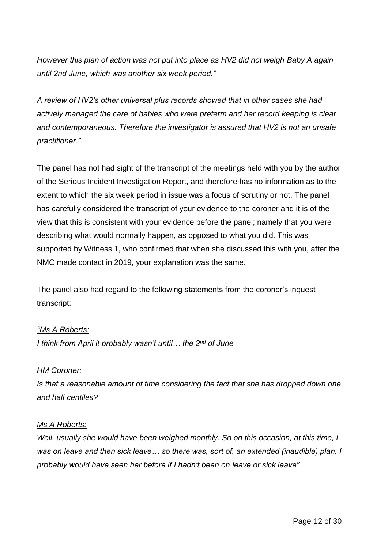*However this plan of action was not put into place as HV2 did not weigh Baby A again until 2nd June, which was another six week period."*

*A review of HV2's other universal plus records showed that in other cases she had actively managed the care of babies who were preterm and her record keeping is clear and contemporaneous. Therefore the investigator is assured that HV2 is not an unsafe practitioner."*

The panel has not had sight of the transcript of the meetings held with you by the author of the Serious Incident Investigation Report, and therefore has no information as to the extent to which the six week period in issue was a focus of scrutiny or not. The panel has carefully considered the transcript of your evidence to the coroner and it is of the view that this is consistent with your evidence before the panel; namely that you were describing what would normally happen, as opposed to what you did. This was supported by Witness 1, who confirmed that when she discussed this with you, after the NMC made contact in 2019, your explanation was the same.

The panel also had regard to the following statements from the coroner's inquest transcript:

#### *"Ms A Roberts:*

*I think from April it probably wasn't until… the 2nd of June*

# *HM Coroner:*

*Is that a reasonable amount of time considering the fact that she has dropped down one and half centiles?*

#### *Ms A Roberts:*

*Well, usually she would have been weighed monthly. So on this occasion, at this time, I was on leave and then sick leave… so there was, sort of, an extended (inaudible) plan. I probably would have seen her before if I hadn't been on leave or sick leave"*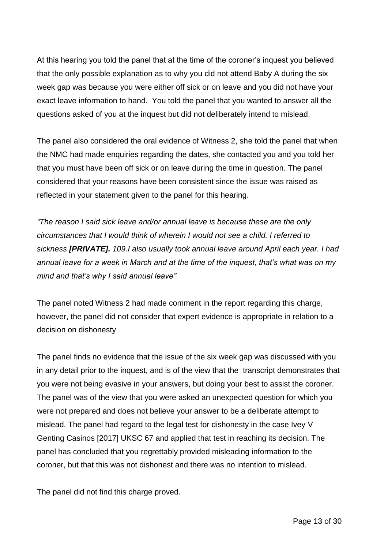At this hearing you told the panel that at the time of the coroner's inquest you believed that the only possible explanation as to why you did not attend Baby A during the six week gap was because you were either off sick or on leave and you did not have your exact leave information to hand. You told the panel that you wanted to answer all the questions asked of you at the inquest but did not deliberately intend to mislead.

The panel also considered the oral evidence of Witness 2, she told the panel that when the NMC had made enquiries regarding the dates, she contacted you and you told her that you must have been off sick or on leave during the time in question. The panel considered that your reasons have been consistent since the issue was raised as reflected in your statement given to the panel for this hearing.

*"The reason I said sick leave and/or annual leave is because these are the only circumstances that I would think of wherein I would not see a child. I referred to sickness [PRIVATE]. 109.I also usually took annual leave around April each year. I had annual leave for a week in March and at the time of the inquest, that's what was on my mind and that's why I said annual leave"*

The panel noted Witness 2 had made comment in the report regarding this charge, however, the panel did not consider that expert evidence is appropriate in relation to a decision on dishonesty

The panel finds no evidence that the issue of the six week gap was discussed with you in any detail prior to the inquest, and is of the view that the transcript demonstrates that you were not being evasive in your answers, but doing your best to assist the coroner. The panel was of the view that you were asked an unexpected question for which you were not prepared and does not believe your answer to be a deliberate attempt to mislead. The panel had regard to the legal test for dishonesty in the case Ivey V Genting Casinos [2017] UKSC 67 and applied that test in reaching its decision. The panel has concluded that you regrettably provided misleading information to the coroner, but that this was not dishonest and there was no intention to mislead.

The panel did not find this charge proved.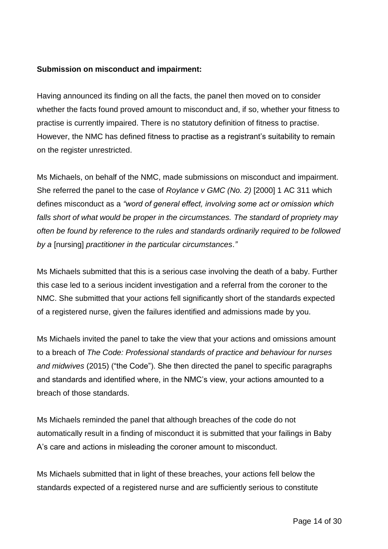### **Submission on misconduct and impairment:**

Having announced its finding on all the facts, the panel then moved on to consider whether the facts found proved amount to misconduct and, if so, whether your fitness to practise is currently impaired. There is no statutory definition of fitness to practise. However, the NMC has defined fitness to practise as a registrant's suitability to remain on the register unrestricted.

Ms Michaels, on behalf of the NMC, made submissions on misconduct and impairment. She referred the panel to the case of *Roylance v GMC (No. 2)* [2000] 1 AC 311 which defines misconduct as a *"word of general effect, involving some act or omission which falls short of what would be proper in the circumstances. The standard of propriety may often be found by reference to the rules and standards ordinarily required to be followed by a* [nursing] *practitioner in the particular circumstances*.*"* 

Ms Michaels submitted that this is a serious case involving the death of a baby. Further this case led to a serious incident investigation and a referral from the coroner to the NMC. She submitted that your actions fell significantly short of the standards expected of a registered nurse, given the failures identified and admissions made by you.

Ms Michaels invited the panel to take the view that your actions and omissions amount to a breach of *The Code: Professional standards of practice and behaviour for nurses and midwives* (2015) ("the Code"). She then directed the panel to specific paragraphs and standards and identified where, in the NMC's view, your actions amounted to a breach of those standards.

Ms Michaels reminded the panel that although breaches of the code do not automatically result in a finding of misconduct it is submitted that your failings in Baby A's care and actions in misleading the coroner amount to misconduct.

Ms Michaels submitted that in light of these breaches, your actions fell below the standards expected of a registered nurse and are sufficiently serious to constitute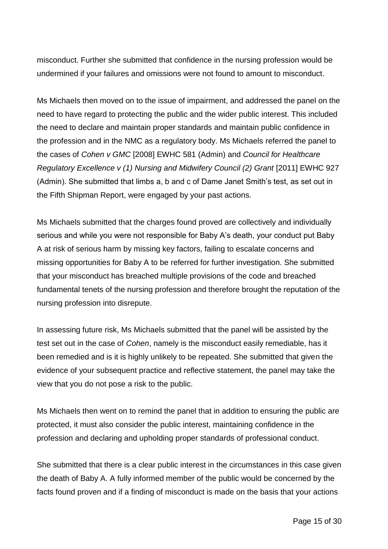misconduct. Further she submitted that confidence in the nursing profession would be undermined if your failures and omissions were not found to amount to misconduct.

Ms Michaels then moved on to the issue of impairment, and addressed the panel on the need to have regard to protecting the public and the wider public interest. This included the need to declare and maintain proper standards and maintain public confidence in the profession and in the NMC as a regulatory body. Ms Michaels referred the panel to the cases of *Cohen v GMC* [2008] EWHC 581 (Admin) and *Council for Healthcare Regulatory Excellence v (1) Nursing and Midwifery Council (2) Grant* [2011] EWHC 927 (Admin). She submitted that limbs a, b and c of Dame Janet Smith's test, as set out in the Fifth Shipman Report, were engaged by your past actions.

Ms Michaels submitted that the charges found proved are collectively and individually serious and while you were not responsible for Baby A's death, your conduct put Baby A at risk of serious harm by missing key factors, failing to escalate concerns and missing opportunities for Baby A to be referred for further investigation. She submitted that your misconduct has breached multiple provisions of the code and breached fundamental tenets of the nursing profession and therefore brought the reputation of the nursing profession into disrepute.

In assessing future risk, Ms Michaels submitted that the panel will be assisted by the test set out in the case of *Cohen*, namely is the misconduct easily remediable, has it been remedied and is it is highly unlikely to be repeated. She submitted that given the evidence of your subsequent practice and reflective statement, the panel may take the view that you do not pose a risk to the public.

Ms Michaels then went on to remind the panel that in addition to ensuring the public are protected, it must also consider the public interest, maintaining confidence in the profession and declaring and upholding proper standards of professional conduct.

She submitted that there is a clear public interest in the circumstances in this case given the death of Baby A. A fully informed member of the public would be concerned by the facts found proven and if a finding of misconduct is made on the basis that your actions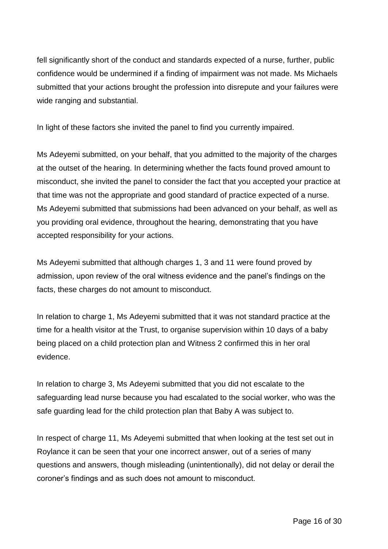fell significantly short of the conduct and standards expected of a nurse, further, public confidence would be undermined if a finding of impairment was not made. Ms Michaels submitted that your actions brought the profession into disrepute and your failures were wide ranging and substantial.

In light of these factors she invited the panel to find you currently impaired.

Ms Adeyemi submitted, on your behalf, that you admitted to the majority of the charges at the outset of the hearing. In determining whether the facts found proved amount to misconduct, she invited the panel to consider the fact that you accepted your practice at that time was not the appropriate and good standard of practice expected of a nurse. Ms Adeyemi submitted that submissions had been advanced on your behalf, as well as you providing oral evidence, throughout the hearing, demonstrating that you have accepted responsibility for your actions.

Ms Adeyemi submitted that although charges 1, 3 and 11 were found proved by admission, upon review of the oral witness evidence and the panel's findings on the facts, these charges do not amount to misconduct.

In relation to charge 1, Ms Adeyemi submitted that it was not standard practice at the time for a health visitor at the Trust, to organise supervision within 10 days of a baby being placed on a child protection plan and Witness 2 confirmed this in her oral evidence.

In relation to charge 3, Ms Adeyemi submitted that you did not escalate to the safeguarding lead nurse because you had escalated to the social worker, who was the safe guarding lead for the child protection plan that Baby A was subject to.

In respect of charge 11, Ms Adeyemi submitted that when looking at the test set out in Roylance it can be seen that your one incorrect answer, out of a series of many questions and answers, though misleading (unintentionally), did not delay or derail the coroner's findings and as such does not amount to misconduct.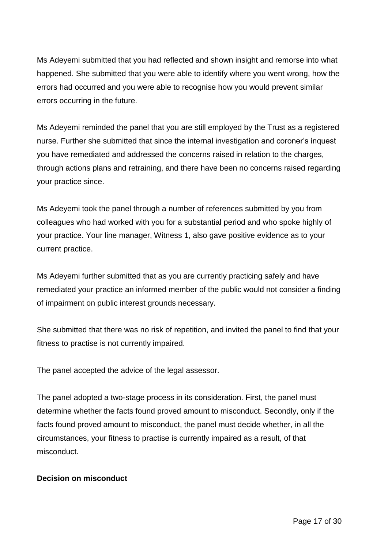Ms Adeyemi submitted that you had reflected and shown insight and remorse into what happened. She submitted that you were able to identify where you went wrong, how the errors had occurred and you were able to recognise how you would prevent similar errors occurring in the future.

Ms Adeyemi reminded the panel that you are still employed by the Trust as a registered nurse. Further she submitted that since the internal investigation and coroner's inquest you have remediated and addressed the concerns raised in relation to the charges, through actions plans and retraining, and there have been no concerns raised regarding your practice since.

Ms Adeyemi took the panel through a number of references submitted by you from colleagues who had worked with you for a substantial period and who spoke highly of your practice. Your line manager, Witness 1, also gave positive evidence as to your current practice.

Ms Adeyemi further submitted that as you are currently practicing safely and have remediated your practice an informed member of the public would not consider a finding of impairment on public interest grounds necessary.

She submitted that there was no risk of repetition, and invited the panel to find that your fitness to practise is not currently impaired.

The panel accepted the advice of the legal assessor.

The panel adopted a two-stage process in its consideration. First, the panel must determine whether the facts found proved amount to misconduct. Secondly, only if the facts found proved amount to misconduct, the panel must decide whether, in all the circumstances, your fitness to practise is currently impaired as a result, of that misconduct.

# **Decision on misconduct**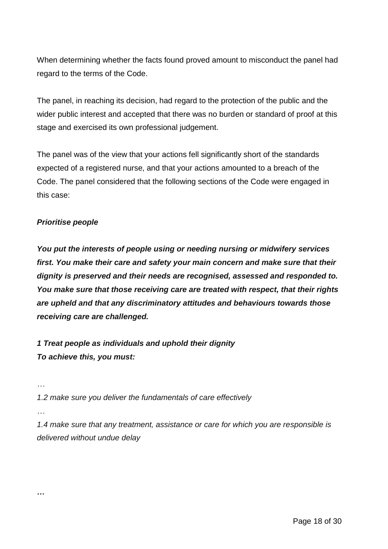When determining whether the facts found proved amount to misconduct the panel had regard to the terms of the Code.

The panel, in reaching its decision, had regard to the protection of the public and the wider public interest and accepted that there was no burden or standard of proof at this stage and exercised its own professional judgement.

The panel was of the view that your actions fell significantly short of the standards expected of a registered nurse, and that your actions amounted to a breach of the Code. The panel considered that the following sections of the Code were engaged in this case:

# *Prioritise people*

*You put the interests of people using or needing nursing or midwifery services first. You make their care and safety your main concern and make sure that their dignity is preserved and their needs are recognised, assessed and responded to. You make sure that those receiving care are treated with respect, that their rights are upheld and that any discriminatory attitudes and behaviours towards those receiving care are challenged.*

*1 Treat people as individuals and uphold their dignity To achieve this, you must:*

*…*

*1.2 make sure you deliver the fundamentals of care effectively*

*…*

*…*

*1.4 make sure that any treatment, assistance or care for which you are responsible is delivered without undue delay*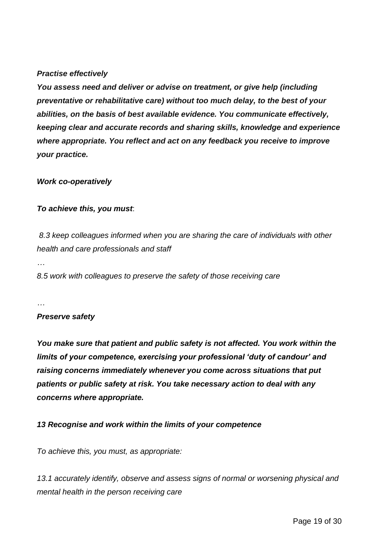### *Practise effectively*

*You assess need and deliver or advise on treatment, or give help (including preventative or rehabilitative care) without too much delay, to the best of your abilities, on the basis of best available evidence. You communicate effectively, keeping clear and accurate records and sharing skills, knowledge and experience where appropriate. You reflect and act on any feedback you receive to improve your practice.*

#### *Work co-operatively*

#### *To achieve this, you must*:

*8.3 keep colleagues informed when you are sharing the care of individuals with other health and care professionals and staff* 

*…*

*8.5 work with colleagues to preserve the safety of those receiving care*

*…*

#### *Preserve safety*

*You make sure that patient and public safety is not affected. You work within the limits of your competence, exercising your professional 'duty of candour' and raising concerns immediately whenever you come across situations that put patients or public safety at risk. You take necessary action to deal with any concerns where appropriate.*

#### *13 Recognise and work within the limits of your competence*

*To achieve this, you must, as appropriate:*

*13.1 accurately identify, observe and assess signs of normal or worsening physical and mental health in the person receiving care*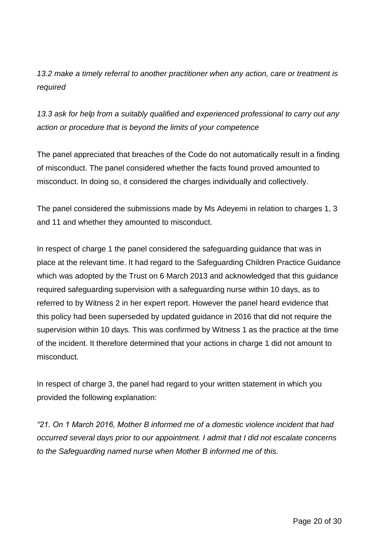*13.2 make a timely referral to another practitioner when any action, care or treatment is required*

*13.3 ask for help from a suitably qualified and experienced professional to carry out any action or procedure that is beyond the limits of your competence*

The panel appreciated that breaches of the Code do not automatically result in a finding of misconduct. The panel considered whether the facts found proved amounted to misconduct. In doing so, it considered the charges individually and collectively.

The panel considered the submissions made by Ms Adeyemi in relation to charges 1, 3 and 11 and whether they amounted to misconduct.

In respect of charge 1 the panel considered the safeguarding guidance that was in place at the relevant time. It had regard to the Safeguarding Children Practice Guidance which was adopted by the Trust on 6 March 2013 and acknowledged that this guidance required safeguarding supervision with a safeguarding nurse within 10 days, as to referred to by Witness 2 in her expert report. However the panel heard evidence that this policy had been superseded by updated guidance in 2016 that did not require the supervision within 10 days. This was confirmed by Witness 1 as the practice at the time of the incident. It therefore determined that your actions in charge 1 did not amount to misconduct.

In respect of charge 3, the panel had regard to your written statement in which you provided the following explanation:

*"21. On 1 March 2016, Mother B informed me of a domestic violence incident that had occurred several days prior to our appointment. I admit that I did not escalate concerns to the Safeguarding named nurse when Mother B informed me of this.*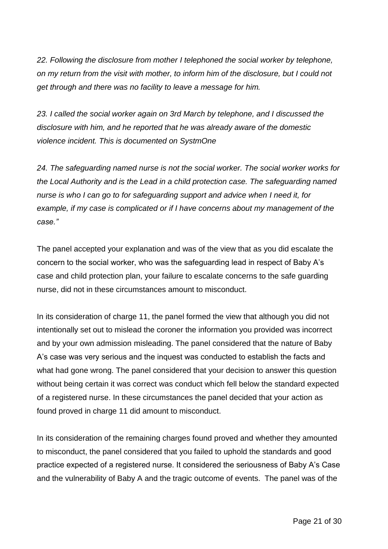*22. Following the disclosure from mother I telephoned the social worker by telephone, on my return from the visit with mother, to inform him of the disclosure, but I could not get through and there was no facility to leave a message for him.*

*23. I called the social worker again on 3rd March by telephone, and I discussed the disclosure with him, and he reported that he was already aware of the domestic violence incident. This is documented on SystmOne*

*24. The safeguarding named nurse is not the social worker. The social worker works for the Local Authority and is the Lead in a child protection case. The safeguarding named nurse is who I can go to for safeguarding support and advice when I need it, for example, if my case is complicated or if I have concerns about my management of the case."*

The panel accepted your explanation and was of the view that as you did escalate the concern to the social worker, who was the safeguarding lead in respect of Baby A's case and child protection plan, your failure to escalate concerns to the safe guarding nurse, did not in these circumstances amount to misconduct.

In its consideration of charge 11, the panel formed the view that although you did not intentionally set out to mislead the coroner the information you provided was incorrect and by your own admission misleading. The panel considered that the nature of Baby A's case was very serious and the inquest was conducted to establish the facts and what had gone wrong. The panel considered that your decision to answer this question without being certain it was correct was conduct which fell below the standard expected of a registered nurse. In these circumstances the panel decided that your action as found proved in charge 11 did amount to misconduct.

In its consideration of the remaining charges found proved and whether they amounted to misconduct, the panel considered that you failed to uphold the standards and good practice expected of a registered nurse. It considered the seriousness of Baby A's Case and the vulnerability of Baby A and the tragic outcome of events. The panel was of the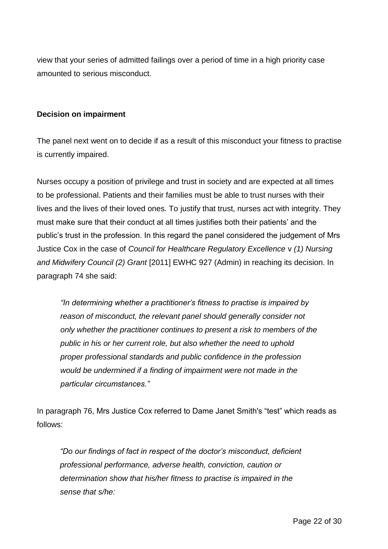view that your series of admitted failings over a period of time in a high priority case amounted to serious misconduct.

### **Decision on impairment**

The panel next went on to decide if as a result of this misconduct your fitness to practise is currently impaired.

Nurses occupy a position of privilege and trust in society and are expected at all times to be professional. Patients and their families must be able to trust nurses with their lives and the lives of their loved ones. To justify that trust, nurses act with integrity. They must make sure that their conduct at all times justifies both their patients' and the public's trust in the profession. In this regard the panel considered the judgement of Mrs Justice Cox in the case of *Council for Healthcare Regulatory Excellence* v *(1) Nursing and Midwifery Council (2) Grant* [2011] EWHC 927 (Admin) in reaching its decision. In paragraph 74 she said:

*"In determining whether a practitioner's fitness to practise is impaired by reason of misconduct, the relevant panel should generally consider not only whether the practitioner continues to present a risk to members of the public in his or her current role, but also whether the need to uphold proper professional standards and public confidence in the profession would be undermined if a finding of impairment were not made in the particular circumstances."* 

In paragraph 76, Mrs Justice Cox referred to Dame Janet Smith's "test" which reads as follows:

*"Do our findings of fact in respect of the doctor's misconduct, deficient professional performance, adverse health, conviction, caution or determination show that his/her fitness to practise is impaired in the sense that s/he:*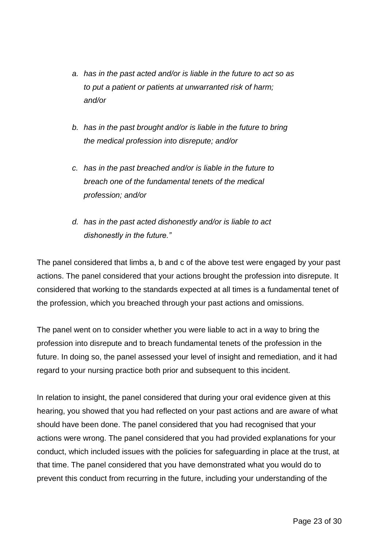- *a. has in the past acted and/or is liable in the future to act so as to put a patient or patients at unwarranted risk of harm; and/or*
- *b. has in the past brought and/or is liable in the future to bring the medical profession into disrepute; and/or*
- *c. has in the past breached and/or is liable in the future to breach one of the fundamental tenets of the medical profession; and/or*
- *d. has in the past acted dishonestly and/or is liable to act dishonestly in the future."*

The panel considered that limbs a, b and c of the above test were engaged by your past actions. The panel considered that your actions brought the profession into disrepute. It considered that working to the standards expected at all times is a fundamental tenet of the profession, which you breached through your past actions and omissions.

The panel went on to consider whether you were liable to act in a way to bring the profession into disrepute and to breach fundamental tenets of the profession in the future. In doing so, the panel assessed your level of insight and remediation, and it had regard to your nursing practice both prior and subsequent to this incident.

In relation to insight, the panel considered that during your oral evidence given at this hearing, you showed that you had reflected on your past actions and are aware of what should have been done. The panel considered that you had recognised that your actions were wrong. The panel considered that you had provided explanations for your conduct, which included issues with the policies for safeguarding in place at the trust, at that time. The panel considered that you have demonstrated what you would do to prevent this conduct from recurring in the future, including your understanding of the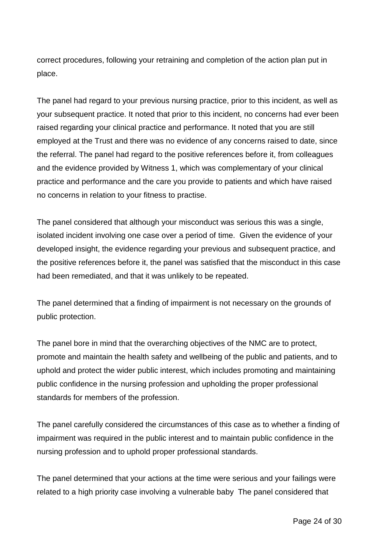correct procedures, following your retraining and completion of the action plan put in place.

The panel had regard to your previous nursing practice, prior to this incident, as well as your subsequent practice. It noted that prior to this incident, no concerns had ever been raised regarding your clinical practice and performance. It noted that you are still employed at the Trust and there was no evidence of any concerns raised to date, since the referral. The panel had regard to the positive references before it, from colleagues and the evidence provided by Witness 1, which was complementary of your clinical practice and performance and the care you provide to patients and which have raised no concerns in relation to your fitness to practise.

The panel considered that although your misconduct was serious this was a single, isolated incident involving one case over a period of time. Given the evidence of your developed insight, the evidence regarding your previous and subsequent practice, and the positive references before it, the panel was satisfied that the misconduct in this case had been remediated, and that it was unlikely to be repeated.

The panel determined that a finding of impairment is not necessary on the grounds of public protection.

The panel bore in mind that the overarching objectives of the NMC are to protect, promote and maintain the health safety and wellbeing of the public and patients, and to uphold and protect the wider public interest, which includes promoting and maintaining public confidence in the nursing profession and upholding the proper professional standards for members of the profession.

The panel carefully considered the circumstances of this case as to whether a finding of impairment was required in the public interest and to maintain public confidence in the nursing profession and to uphold proper professional standards.

The panel determined that your actions at the time were serious and your failings were related to a high priority case involving a vulnerable baby The panel considered that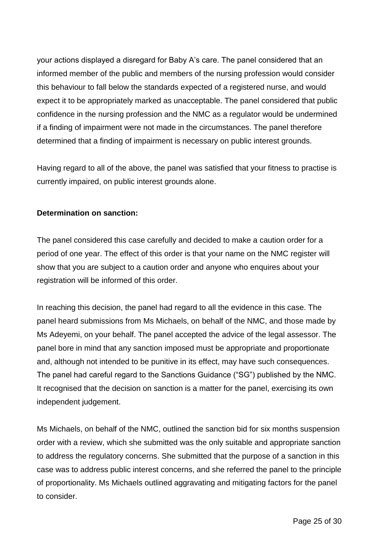your actions displayed a disregard for Baby A's care. The panel considered that an informed member of the public and members of the nursing profession would consider this behaviour to fall below the standards expected of a registered nurse, and would expect it to be appropriately marked as unacceptable. The panel considered that public confidence in the nursing profession and the NMC as a regulator would be undermined if a finding of impairment were not made in the circumstances. The panel therefore determined that a finding of impairment is necessary on public interest grounds.

Having regard to all of the above, the panel was satisfied that your fitness to practise is currently impaired, on public interest grounds alone.

# **Determination on sanction:**

The panel considered this case carefully and decided to make a caution order for a period of one year. The effect of this order is that your name on the NMC register will show that you are subject to a caution order and anyone who enquires about your registration will be informed of this order.

In reaching this decision, the panel had regard to all the evidence in this case. The panel heard submissions from Ms Michaels, on behalf of the NMC, and those made by Ms Adeyemi, on your behalf. The panel accepted the advice of the legal assessor. The panel bore in mind that any sanction imposed must be appropriate and proportionate and, although not intended to be punitive in its effect, may have such consequences. The panel had careful regard to the Sanctions Guidance ("SG") published by the NMC. It recognised that the decision on sanction is a matter for the panel, exercising its own independent judgement.

Ms Michaels, on behalf of the NMC, outlined the sanction bid for six months suspension order with a review, which she submitted was the only suitable and appropriate sanction to address the regulatory concerns. She submitted that the purpose of a sanction in this case was to address public interest concerns, and she referred the panel to the principle of proportionality. Ms Michaels outlined aggravating and mitigating factors for the panel to consider.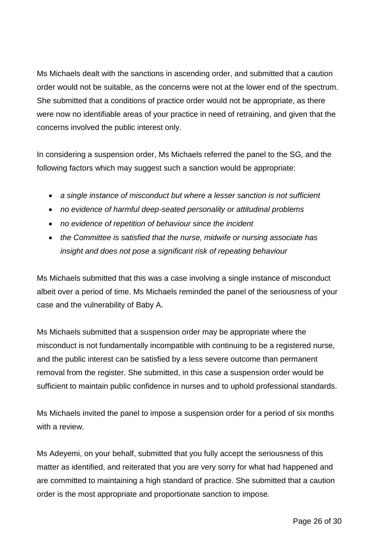Ms Michaels dealt with the sanctions in ascending order, and submitted that a caution order would not be suitable, as the concerns were not at the lower end of the spectrum. She submitted that a conditions of practice order would not be appropriate, as there were now no identifiable areas of your practice in need of retraining, and given that the concerns involved the public interest only.

In considering a suspension order, Ms Michaels referred the panel to the SG, and the following factors which may suggest such a sanction would be appropriate:

- *a single instance of misconduct but where a lesser sanction is not sufficient*
- *no evidence of harmful deep-seated personality or attitudinal problems*
- *no evidence of repetition of behaviour since the incident*
- *the Committee is satisfied that the nurse, midwife or nursing associate has insight and does not pose a significant risk of repeating behaviour*

Ms Michaels submitted that this was a case involving a single instance of misconduct albeit over a period of time. Ms Michaels reminded the panel of the seriousness of your case and the vulnerability of Baby A.

Ms Michaels submitted that a suspension order may be appropriate where the misconduct is not fundamentally incompatible with continuing to be a registered nurse, and the public interest can be satisfied by a less severe outcome than permanent removal from the register. She submitted, in this case a suspension order would be sufficient to maintain public confidence in nurses and to uphold professional standards.

Ms Michaels invited the panel to impose a suspension order for a period of six months with a review.

Ms Adeyemi, on your behalf, submitted that you fully accept the seriousness of this matter as identified, and reiterated that you are very sorry for what had happened and are committed to maintaining a high standard of practice. She submitted that a caution order is the most appropriate and proportionate sanction to impose.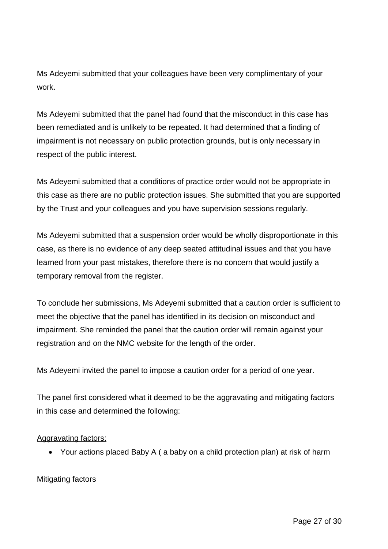Ms Adeyemi submitted that your colleagues have been very complimentary of your work.

Ms Adeyemi submitted that the panel had found that the misconduct in this case has been remediated and is unlikely to be repeated. It had determined that a finding of impairment is not necessary on public protection grounds, but is only necessary in respect of the public interest.

Ms Adeyemi submitted that a conditions of practice order would not be appropriate in this case as there are no public protection issues. She submitted that you are supported by the Trust and your colleagues and you have supervision sessions regularly.

Ms Adeyemi submitted that a suspension order would be wholly disproportionate in this case, as there is no evidence of any deep seated attitudinal issues and that you have learned from your past mistakes, therefore there is no concern that would justify a temporary removal from the register.

To conclude her submissions, Ms Adeyemi submitted that a caution order is sufficient to meet the objective that the panel has identified in its decision on misconduct and impairment. She reminded the panel that the caution order will remain against your registration and on the NMC website for the length of the order.

Ms Adeyemi invited the panel to impose a caution order for a period of one year.

The panel first considered what it deemed to be the aggravating and mitigating factors in this case and determined the following:

# Aggravating factors:

Your actions placed Baby A ( a baby on a child protection plan) at risk of harm

# Mitigating factors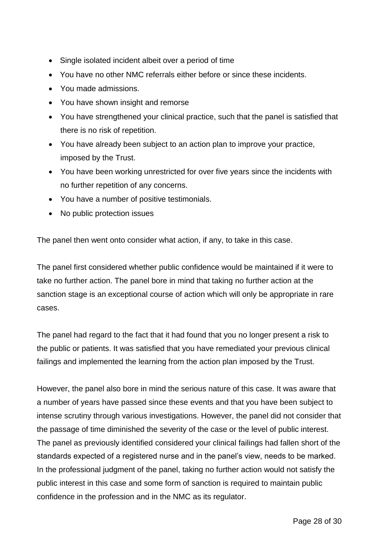- Single isolated incident albeit over a period of time
- You have no other NMC referrals either before or since these incidents.
- You made admissions.
- You have shown insight and remorse
- You have strengthened your clinical practice, such that the panel is satisfied that there is no risk of repetition.
- You have already been subject to an action plan to improve your practice, imposed by the Trust.
- You have been working unrestricted for over five years since the incidents with no further repetition of any concerns.
- You have a number of positive testimonials.
- No public protection issues

The panel then went onto consider what action, if any, to take in this case.

The panel first considered whether public confidence would be maintained if it were to take no further action. The panel bore in mind that taking no further action at the sanction stage is an exceptional course of action which will only be appropriate in rare cases.

The panel had regard to the fact that it had found that you no longer present a risk to the public or patients. It was satisfied that you have remediated your previous clinical failings and implemented the learning from the action plan imposed by the Trust.

However, the panel also bore in mind the serious nature of this case. It was aware that a number of years have passed since these events and that you have been subject to intense scrutiny through various investigations. However, the panel did not consider that the passage of time diminished the severity of the case or the level of public interest. The panel as previously identified considered your clinical failings had fallen short of the standards expected of a registered nurse and in the panel's view, needs to be marked. In the professional judgment of the panel, taking no further action would not satisfy the public interest in this case and some form of sanction is required to maintain public confidence in the profession and in the NMC as its regulator.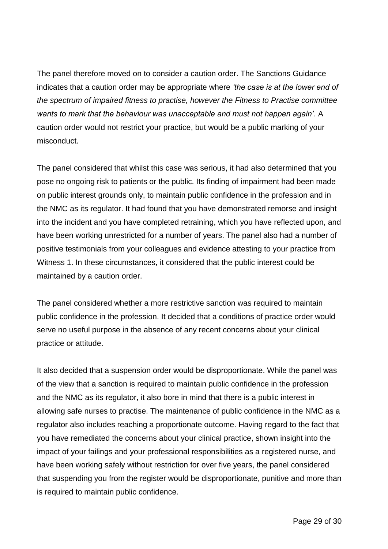The panel therefore moved on to consider a caution order. The Sanctions Guidance indicates that a caution order may be appropriate where *'the case is at the lower end of the spectrum of impaired fitness to practise, however the Fitness to Practise committee wants to mark that the behaviour was unacceptable and must not happen again'.* A caution order would not restrict your practice, but would be a public marking of your misconduct.

The panel considered that whilst this case was serious, it had also determined that you pose no ongoing risk to patients or the public. Its finding of impairment had been made on public interest grounds only, to maintain public confidence in the profession and in the NMC as its regulator. It had found that you have demonstrated remorse and insight into the incident and you have completed retraining, which you have reflected upon, and have been working unrestricted for a number of years. The panel also had a number of positive testimonials from your colleagues and evidence attesting to your practice from Witness 1. In these circumstances, it considered that the public interest could be maintained by a caution order.

The panel considered whether a more restrictive sanction was required to maintain public confidence in the profession. It decided that a conditions of practice order would serve no useful purpose in the absence of any recent concerns about your clinical practice or attitude.

It also decided that a suspension order would be disproportionate. While the panel was of the view that a sanction is required to maintain public confidence in the profession and the NMC as its regulator, it also bore in mind that there is a public interest in allowing safe nurses to practise. The maintenance of public confidence in the NMC as a regulator also includes reaching a proportionate outcome. Having regard to the fact that you have remediated the concerns about your clinical practice, shown insight into the impact of your failings and your professional responsibilities as a registered nurse, and have been working safely without restriction for over five years, the panel considered that suspending you from the register would be disproportionate, punitive and more than is required to maintain public confidence.